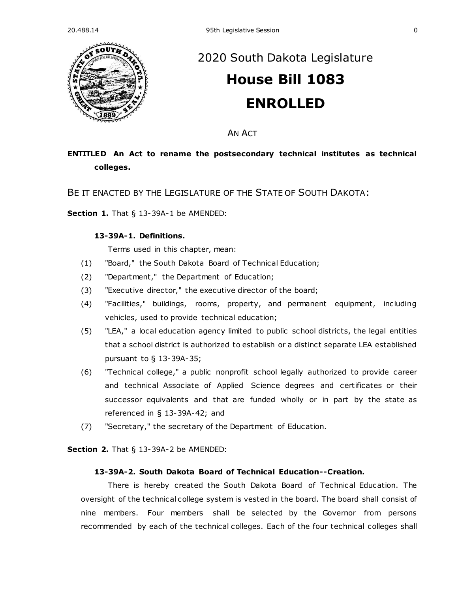

# [2020 South Dakota Legislature](https://sdlegislature.gov/Legislative_Session/Bills/Default.aspx?Session=2020) **[House Bill 1083](https://sdlegislature.gov/Legislative_Session/Bills/Bill.aspx?Bill=1083&Session=2020) ENROLLED**

AN ACT

# **ENTITLED An Act to rename the postsecondary technical institutes as technical colleges.**

BE IT ENACTED BY THE LEGISLATURE OF THE STATE OF SOUTH DAKOTA:

**Section 1.** [That § 13-39A-1 be AMENDED:](https://sdlegislature.gov/Statutes/Codified_Laws/DisplayStatute.aspx?Type=Statute&Statute=13-39A-1)

# **[13-39A-1. D](https://sdlegislature.gov/Statutes/Codified_Laws/DisplayStatute.aspx?Type=Statute&Statute=13-39A-1)efinitions.**

Terms used in this chapter, mean:

- (1) "Board," the South Dakota Board of Technical Education;
- (2) "Department," the Department of Education;
- (3) "Executive director," the executive director of the board;
- (4) "Facilities," buildings, rooms, property, and permanent equipment, including vehicles, used to provide technical education;
- (5) "LEA," a local education agency limited to public school districts, the legal entities that a school district is authorized to establish or a distinct separate LEA established pursuant to § [13-39A-35;](https://sdlegislature.gov/Statutes/Codified_Laws/DisplayStatute.aspx?Type=Statute&Statute=13-39A-35)
- (6) "Technical college," a public nonprofit school legally authorized to provide career and technical Associate of Applied Science degrees and certificates or their successor equivalents and that are funded wholly or in part by the state as referenced in § [13-39A-42;](https://sdlegislature.gov/Statutes/Codified_Laws/DisplayStatute.aspx?Type=Statute&Statute=13-39A-42) and
- (7) "Secretary," the secretary of the Department of Education.

**Section 2.** [That § 13-39A-2 be AMENDED:](https://sdlegislature.gov/Statutes/Codified_Laws/DisplayStatute.aspx?Type=Statute&Statute=13-39A-2)

# **[13-39A-2. S](https://sdlegislature.gov/Statutes/Codified_Laws/DisplayStatute.aspx?Type=Statute&Statute=13-39A-2)outh Dakota Board of Technical Education--Creation.**

There is hereby created the South Dakota Board of Technical Education. The oversight of the technical college system is vested in the board. The board shall consist of nine members. Four members shall be selected by the Governor from persons recommended by each of the technical colleges. Each of the four technical colleges shall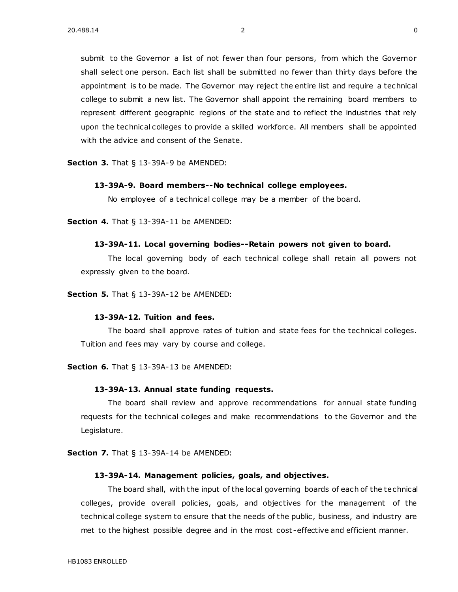submit to the Governor a list of not fewer than four persons, from which the Governor shall select one person. Each list shall be submitted no fewer than thirty days before the appointment is to be made. The Governor may reject the entire list and require a technical college to submit a new list. The Governor shall appoint the remaining board members to represent different geographic regions of the state and to reflect the industries that rely upon the technical colleges to provide a skilled workforce. All members shall be appointed with the advice and consent of the Senate.

**Section 3.** [That § 13-39A-9 be AMENDED:](https://sdlegislature.gov/Statutes/Codified_Laws/DisplayStatute.aspx?Type=Statute&Statute=13-39A-9)

#### **[13-39A-9. B](https://sdlegislature.gov/Statutes/Codified_Laws/DisplayStatute.aspx?Type=Statute&Statute=13-39A-9)oard members--No technical college employees.**

No employee of a technical college may be a member of the board.

**Section 4.** [That § 13-39A-11 be AMENDED:](https://sdlegislature.gov/Statutes/Codified_Laws/DisplayStatute.aspx?Type=Statute&Statute=13-39A-11)

#### **[13-39A-11. L](https://sdlegislature.gov/Statutes/Codified_Laws/DisplayStatute.aspx?Type=Statute&Statute=13-39A-11)ocal governing bodies--Retain powers not given to board.**

The local governing body of each technical college shall retain all powers not expressly given to the board.

**Section 5.** [That § 13-39A-12 be AMENDED:](https://sdlegislature.gov/Statutes/Codified_Laws/DisplayStatute.aspx?Type=Statute&Statute=13-39A-12)

# **[13-39A-12. T](https://sdlegislature.gov/Statutes/Codified_Laws/DisplayStatute.aspx?Type=Statute&Statute=13-39A-12)uition and fees.**

The board shall approve rates of tuition and state fees for the technical colleges. Tuition and fees may vary by course and college.

**Section 6.** [That § 13-39A-13 be AMENDED:](https://sdlegislature.gov/Statutes/Codified_Laws/DisplayStatute.aspx?Type=Statute&Statute=13-39A-13)

#### **[13-39A-13. A](https://sdlegislature.gov/Statutes/Codified_Laws/DisplayStatute.aspx?Type=Statute&Statute=13-39A-13)nnual state funding requests.**

The board shall review and approve recommendations for annual state funding requests for the technical colleges and make recommendations to the Governor and the Legislature.

**Section 7.** [That § 13-39A-14 be AMENDED:](https://sdlegislature.gov/Statutes/Codified_Laws/DisplayStatute.aspx?Type=Statute&Statute=13-39A-14)

#### **[13-39A-14. M](https://sdlegislature.gov/Statutes/Codified_Laws/DisplayStatute.aspx?Type=Statute&Statute=13-39A-14)anagement policies, goals, and objectives.**

The board shall, with the input of the local governing boards of each of the technical colleges, provide overall policies, goals, and objectives for the management of the technical college system to ensure that the needs of the public, business, and industry are met to the highest possible degree and in the most cost -effective and efficient manner.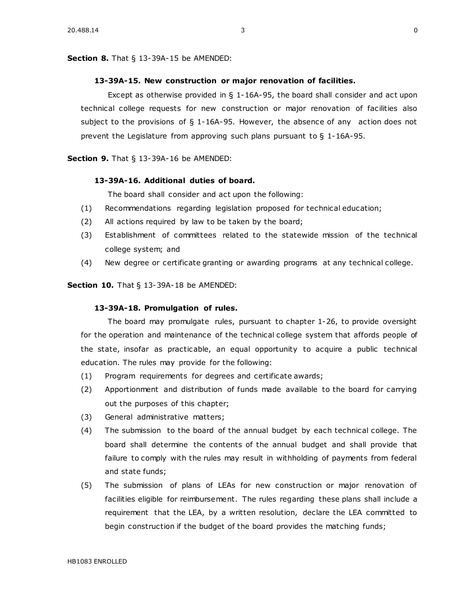#### **Section 8.** [That § 13-39A-15 be AMENDED:](https://sdlegislature.gov/Statutes/Codified_Laws/DisplayStatute.aspx?Type=Statute&Statute=13-39A-15)

#### **[13-39A-15. N](https://sdlegislature.gov/Statutes/Codified_Laws/DisplayStatute.aspx?Type=Statute&Statute=13-39A-15)ew construction or major renovation of facilities.**

Except as otherwise provided in  $\S$  [1-16A-95,](https://sdlegislature.gov/Statutes/Codified_Laws/DisplayStatute.aspx?Type=Statute&Statute=1-16A-95) the board shall consider and act upon technical college requests for new construction or major renovation of facilities also subject to the provisions of § [1-16A-95.](https://sdlegislature.gov/Statutes/Codified_Laws/DisplayStatute.aspx?Type=Statute&Statute=1-16A-95) However, the absence of any action does not prevent the Legislature from approving such plans pursuant to § [1-16A-95.](https://sdlegislature.gov/Statutes/Codified_Laws/DisplayStatute.aspx?Type=Statute&Statute=1-16A-95)

### **Section 9.** [That § 13-39A-16 be AMENDED:](https://sdlegislature.gov/Statutes/Codified_Laws/DisplayStatute.aspx?Type=Statute&Statute=13-39A-16)

# **[13-39A-16. A](https://sdlegislature.gov/Statutes/Codified_Laws/DisplayStatute.aspx?Type=Statute&Statute=13-39A-16)dditional duties of board.**

The board shall consider and act upon the following:

- (1) Recommendations regarding legislation proposed for technical education;
- (2) All actions required by law to be taken by the board;
- (3) Establishment of committees related to the statewide mission of the technical college system; and
- (4) New degree or certificate granting or awarding programs at any technical college.

**Section 10.** [That § 13-39A-18 be AMENDED:](https://sdlegislature.gov/Statutes/Codified_Laws/DisplayStatute.aspx?Type=Statute&Statute=13-39A-18)

# **[13-39A-18. P](https://sdlegislature.gov/Statutes/Codified_Laws/DisplayStatute.aspx?Type=Statute&Statute=13-39A-18)romulgation of rules.**

The board may promulgate rules, pursuant to chapter [1-26,](https://sdlegislature.gov/Statutes/Codified_Laws/DisplayStatute.aspx?Type=Statute&Statute=1-26) to provide oversight for the operation and maintenance of the technical college system that affords people of the state, insofar as practicable, an equal opportunity to acquire a public technical education. The rules may provide for the following:

- (1) Program requirements for degrees and certificate awards;
- (2) Apportionment and distribution of funds made available to the board for carrying out the purposes of this chapter;
- (3) General administrative matters;
- (4) The submission to the board of the annual budget by each technical college. The board shall determine the contents of the annual budget and shall provide that failure to comply with the rules may result in withholding of payments from federal and state funds;
- (5) The submission of plans of LEAs for new construction or major renovation of facilities eligible for reimbursement. The rules regarding these plans shall include a requirement that the LEA, by a written resolution, declare the LEA committed to begin construction if the budget of the board provides the matching funds;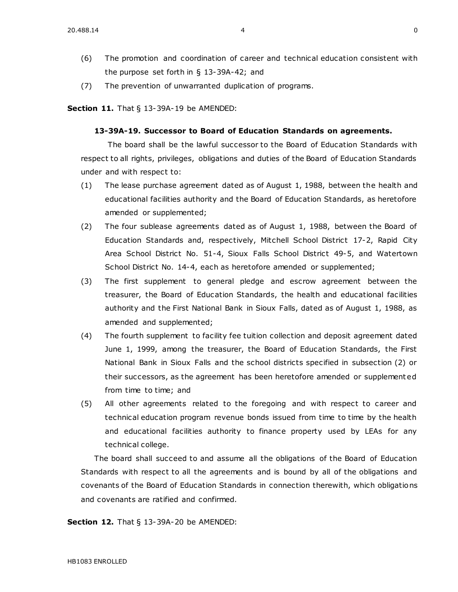- (6) The promotion and coordination of career and technical education consistent with the purpose set forth in § [13-39A-42;](https://sdlegislature.gov/Statutes/Codified_Laws/DisplayStatute.aspx?Type=Statute&Statute=13-39A-42) and
- (7) The prevention of unwarranted duplication of programs.

**Section 11.** [That § 13-39A-19 be AMENDED:](https://sdlegislature.gov/Statutes/Codified_Laws/DisplayStatute.aspx?Type=Statute&Statute=13-39A-19)

### **[13-39A-19. S](https://sdlegislature.gov/Statutes/Codified_Laws/DisplayStatute.aspx?Type=Statute&Statute=13-39A-19)uccessor to Board of Education Standards on agreements.**

The board shall be the lawful successor to the Board of Education Standards with respect to all rights, privileges, obligations and duties of the Board of Education Standards under and with respect to:

- (1) The lease purchase agreement dated as of August 1, 1988, between the health and educational facilities authority and the Board of Education Standards, as heretofore amended or supplemented;
- (2) The four sublease agreements dated as of August 1, 1988, between the Board of Education Standards and, respectively, Mitchell School District [17-2,](https://sdlegislature.gov/Statutes/Codified_Laws/DisplayStatute.aspx?Type=Statute&Statute=17-2) Rapid City Area School District No. 51-4, Sioux Falls School District [49-5,](https://sdlegislature.gov/Statutes/Codified_Laws/DisplayStatute.aspx?Type=Statute&Statute=49-5) and Watertown School District No. [14-4,](https://sdlegislature.gov/Statutes/Codified_Laws/DisplayStatute.aspx?Type=Statute&Statute=14-4) each as heretofore amended or supplemented;
- (3) The first supplement to general pledge and escrow agreement between the treasurer, the Board of Education Standards, the health and educational facilities authority and the First National Bank in Sioux Falls, dated as of August 1, 1988, as amended and supplemented;
- (4) The fourth supplement to facility fee tuition collection and deposit agreement dated June 1, 1999, among the treasurer, the Board of Education Standards, the First National Bank in Sioux Falls and the school districts specified in subsection (2) or their successors, as the agreement has been heretofore amended or supplement ed from time to time; and
- (5) All other agreements related to the foregoing and with respect to career and technical education program revenue bonds issued from time to time by the health and educational facilities authority to finance property used by LEAs for any technical college.

The board shall succeed to and assume all the obligations of the Board of Education Standards with respect to all the agreements and is bound by all of the obligations and covenants of the Board of Education Standards in connection therewith, which obligations and covenants are ratified and confirmed.

**Section 12.** [That § 13-39A-20 be AMENDED:](https://sdlegislature.gov/Statutes/Codified_Laws/DisplayStatute.aspx?Type=Statute&Statute=13-39A-20)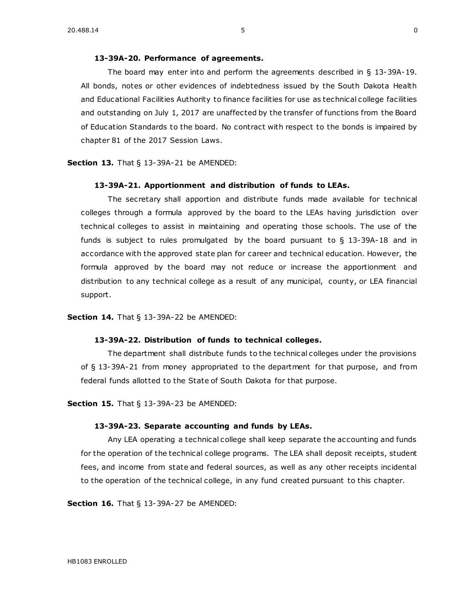The board may enter into and perform the agreements described in § [13-39A-19.](https://sdlegislature.gov/Statutes/Codified_Laws/DisplayStatute.aspx?Type=Statute&Statute=13-39A-19) All bonds, notes or other evidences of indebtedness issued by the South Dakota Health and Educational Facilities Authority to finance facilities for use as technical college facilities and outstanding on July 1, 2017 are unaffected by the transfer of functions from the Board of Education Standards to the board. No contract with respect to the bonds is impaired by chapter 81 of the 2017 Session Laws.

**Section 13.** [That § 13-39A-21 be AMENDED:](https://sdlegislature.gov/Statutes/Codified_Laws/DisplayStatute.aspx?Type=Statute&Statute=13-39A-21)

### **[13-39A-21. A](https://sdlegislature.gov/Statutes/Codified_Laws/DisplayStatute.aspx?Type=Statute&Statute=13-39A-21)pportionment and distribution of funds to LEAs.**

The secretary shall apportion and distribute funds made available for technical colleges through a formula approved by the board to the LEAs having jurisdiction over technical colleges to assist in maintaining and operating those schools. The use of the funds is subject to rules promulgated by the board pursuant to § [13-39A-18](https://sdlegislature.gov/Statutes/Codified_Laws/DisplayStatute.aspx?Type=Statute&Statute=13-39A-18) and in accordance with the approved state plan for career and technical education. However, the formula approved by the board may not reduce or increase the apportionment and distribution to any technical college as a result of any municipal, county, or LEA financial support.

**Section 14.** [That § 13-39A-22 be AMENDED:](https://sdlegislature.gov/Statutes/Codified_Laws/DisplayStatute.aspx?Type=Statute&Statute=13-39A-22)

### **[13-39A-22. D](https://sdlegislature.gov/Statutes/Codified_Laws/DisplayStatute.aspx?Type=Statute&Statute=13-39A-22)istribution of funds to technical colleges.**

The department shall distribute funds to the technical colleges under the provisions of § [13-39A-21](https://sdlegislature.gov/Statutes/Codified_Laws/DisplayStatute.aspx?Type=Statute&Statute=13-39A-21) from money appropriated to the department for that purpose, and from federal funds allotted to the State of South Dakota for that purpose.

**Section 15.** [That § 13-39A-23 be AMENDED:](https://sdlegislature.gov/Statutes/Codified_Laws/DisplayStatute.aspx?Type=Statute&Statute=13-39A-23)

#### **[13-39A-23. S](https://sdlegislature.gov/Statutes/Codified_Laws/DisplayStatute.aspx?Type=Statute&Statute=13-39A-23)eparate accounting and funds by LEAs.**

Any LEA operating a technical college shall keep separate the accounting and funds for the operation of the technical college programs. The LEA shall deposit receipts, student fees, and income from state and federal sources, as well as any other receipts incidental to the operation of the technical college, in any fund created pursuant to this chapter.

**Section 16.** [That § 13-39A-27 be AMENDED:](https://sdlegislature.gov/Statutes/Codified_Laws/DisplayStatute.aspx?Type=Statute&Statute=13-39A-27)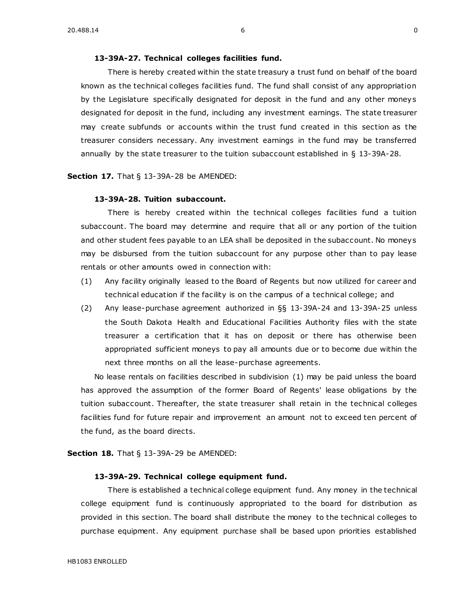### **[13-39A-27. T](https://sdlegislature.gov/Statutes/Codified_Laws/DisplayStatute.aspx?Type=Statute&Statute=13-39A-27)echnical colleges facilities fund.**

There is hereby created within the state treasury a trust fund on behalf of the board known as the technical colleges facilities fund. The fund shall consist of any appropriation by the Legislature specifically designated for deposit in the fund and any other moneys designated for deposit in the fund, including any investment earnings. The state treasurer may create subfunds or accounts within the trust fund created in this section as the treasurer considers necessary. Any investment earnings in the fund may be transferred annually by the state treasurer to the tuition subaccount established in § [13-39A-28.](https://sdlegislature.gov/Statutes/Codified_Laws/DisplayStatute.aspx?Type=Statute&Statute=13-39A-28)

**Section 17.** [That § 13-39A-28 be AMENDED:](https://sdlegislature.gov/Statutes/Codified_Laws/DisplayStatute.aspx?Type=Statute&Statute=13-39A-28)

### **[13-39A-28. T](https://sdlegislature.gov/Statutes/Codified_Laws/DisplayStatute.aspx?Type=Statute&Statute=13-39A-28)uition subaccount.**

There is hereby created within the technical colleges facilities fund a tuition subaccount. The board may determine and require that all or any portion of the tuition and other student fees payable to an LEA shall be deposited in the subaccount. No moneys may be disbursed from the tuition subaccount for any purpose other than to pay lease rentals or other amounts owed in connection with:

- (1) Any facility originally leased to the Board of Regents but now utilized for career and technical education if the facility is on the campus of a technical college; and
- (2) Any lease-purchase agreement authorized in §§ [13-39A-24](https://sdlegislature.gov/Statutes/Codified_Laws/DisplayStatute.aspx?Type=Statute&Statute=13-39A-24) and [13-39A-25](https://sdlegislature.gov/Statutes/Codified_Laws/DisplayStatute.aspx?Type=Statute&Statute=13-39A-25) unless the South Dakota Health and Educational Facilities Authority files with the state treasurer a certification that it has on deposit or there has otherwise been appropriated sufficient moneys to pay all amounts due or to become due within the next three months on all the lease-purchase agreements.

No lease rentals on facilities described in subdivision (1) may be paid unless the board has approved the assumption of the former Board of Regents' lease obligations by the tuition subaccount. Thereafter, the state treasurer shall retain in the technical colleges facilities fund for future repair and improvement an amount not to exceed ten percent of the fund, as the board directs.

**Section 18.** [That § 13-39A-29 be AMENDED:](https://sdlegislature.gov/Statutes/Codified_Laws/DisplayStatute.aspx?Type=Statute&Statute=13-39A-29)

### **[13-39A-29. T](https://sdlegislature.gov/Statutes/Codified_Laws/DisplayStatute.aspx?Type=Statute&Statute=13-39A-29)echnical college equipment fund.**

There is established a technical college equipment fund. Any money in the technical college equipment fund is continuously appropriated to the board for distribution as provided in this section. The board shall distribute the money to the technical colleges to purchase equipment. Any equipment purchase shall be based upon priorities established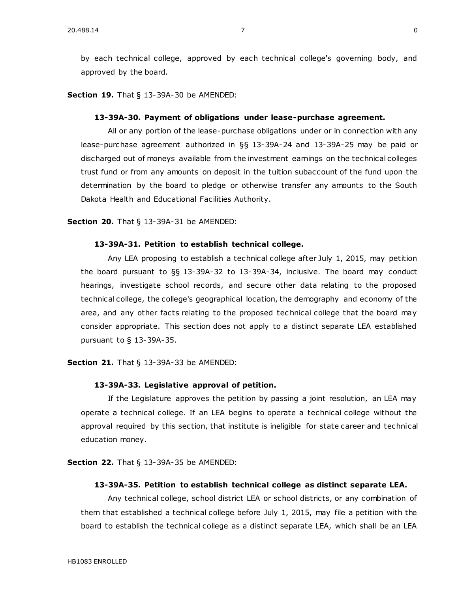by each technical college, approved by each technical college's governing body, and approved by the board.

**Section 19.** [That § 13-39A-30 be AMENDED:](https://sdlegislature.gov/Statutes/Codified_Laws/DisplayStatute.aspx?Type=Statute&Statute=13-39A-30)

#### **[13-39A-30. P](https://sdlegislature.gov/Statutes/Codified_Laws/DisplayStatute.aspx?Type=Statute&Statute=13-39A-30)ayment of obligations under lease-purchase agreement.**

All or any portion of the lease-purchase obligations under or in connection with any lease-purchase agreement authorized in §§ [13-39A-24](https://sdlegislature.gov/Statutes/Codified_Laws/DisplayStatute.aspx?Type=Statute&Statute=13-39A-24) and [13-39A-25](https://sdlegislature.gov/Statutes/Codified_Laws/DisplayStatute.aspx?Type=Statute&Statute=13-39A-25) may be paid or discharged out of moneys available from the investment earnings on the technical colleges trust fund or from any amounts on deposit in the tuition subaccount of the fund upon the determination by the board to pledge or otherwise transfer any amounts to the South Dakota Health and Educational Facilities Authority.

**Section 20.** [That § 13-39A-31 be AMENDED:](https://sdlegislature.gov/Statutes/Codified_Laws/DisplayStatute.aspx?Type=Statute&Statute=13-39A-31)

### **[13-39A-31. P](https://sdlegislature.gov/Statutes/Codified_Laws/DisplayStatute.aspx?Type=Statute&Statute=13-39A-31)etition to establish technical college.**

Any LEA proposing to establish a technical college after July 1, 2015, may petition the board pursuant to §§ [13-39A-32](https://sdlegislature.gov/Statutes/Codified_Laws/DisplayStatute.aspx?Type=Statute&Statute=13-39A-32) to [13-39A-34,](https://sdlegislature.gov/Statutes/Codified_Laws/DisplayStatute.aspx?Type=Statute&Statute=13-39A-34) inclusive. The board may conduct hearings, investigate school records, and secure other data relating to the proposed technical college, the college's geographical location, the demography and economy of the area, and any other facts relating to the proposed tec hnical college that the board may consider appropriate. This section does not apply to a distinct separate LEA established pursuant to § [13-39A-35.](https://sdlegislature.gov/Statutes/Codified_Laws/DisplayStatute.aspx?Type=Statute&Statute=13-39A-35)

**Section 21.** [That § 13-39A-33 be AMENDED:](https://sdlegislature.gov/Statutes/Codified_Laws/DisplayStatute.aspx?Type=Statute&Statute=13-39A-33)

### **[13-39A-33. L](https://sdlegislature.gov/Statutes/Codified_Laws/DisplayStatute.aspx?Type=Statute&Statute=13-39A-33)egislative approval of petition.**

If the Legislature approves the petition by passing a joint resolution, an LEA may operate a technical college. If an LEA begins to operate a technical college without the approval required by this section, that institute is ineligible for state career and technical education money.

**Section 22.** [That § 13-39A-35 be AMENDED:](https://sdlegislature.gov/Statutes/Codified_Laws/DisplayStatute.aspx?Type=Statute&Statute=13-39A-35)

#### **[13-39A-35. P](https://sdlegislature.gov/Statutes/Codified_Laws/DisplayStatute.aspx?Type=Statute&Statute=13-39A-35)etition to establish technical college as distinct separate LEA.**

Any technical college, school district LEA or school districts, or any combination of them that established a technical college before July 1, 2015, may file a petition with the board to establish the technical college as a distinct separate LEA, which shall be an LEA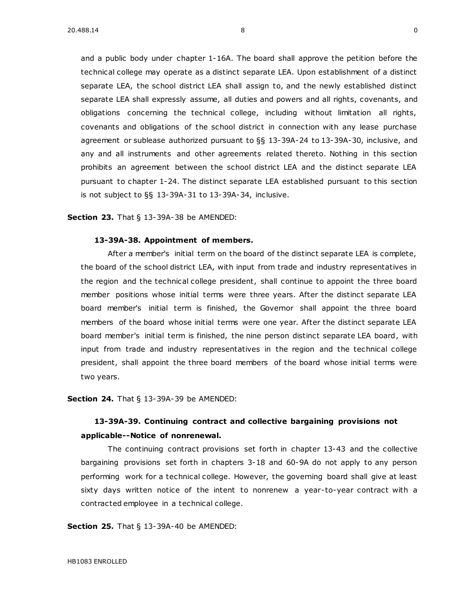and a public body under chapter [1-16A.](https://sdlegislature.gov/Statutes/Codified_Laws/DisplayStatute.aspx?Type=Statute&Statute=1-16A) The board shall approve the petition before the technical college may operate as a distinct separate LEA. Upon establishment of a distinct separate LEA, the school district LEA shall assign to, and the newly established distinct separate LEA shall expressly assume, all duties and powers and all rights, covenants, and obligations concerning the technical college, including without limitation all rights, covenants and obligations of the school district in connection with any lease purchase agreement or sublease authorized pursuant to §§ [13-39A-24](https://sdlegislature.gov/Statutes/Codified_Laws/DisplayStatute.aspx?Type=Statute&Statute=13-39A-24) t[o 13-39A-30,](https://sdlegislature.gov/Statutes/Codified_Laws/DisplayStatute.aspx?Type=Statute&Statute=13-39A-30) inclusive, and any and all instruments and other agreements related thereto. Nothing in this section prohibits an agreement between the school district LEA and the distinct separate LEA pursuant to chapter [1-24.](https://sdlegislature.gov/Statutes/Codified_Laws/DisplayStatute.aspx?Type=Statute&Statute=1-24) The distinct separate LEA established pursuant to this section is not subject to §§ [13-39A-31](https://sdlegislature.gov/Statutes/Codified_Laws/DisplayStatute.aspx?Type=Statute&Statute=13-39A-31) to [13-39A-34,](https://sdlegislature.gov/Statutes/Codified_Laws/DisplayStatute.aspx?Type=Statute&Statute=13-39A-34) inclusive.

### **Section 23.** [That § 13-39A-38 be AMENDED:](https://sdlegislature.gov/Statutes/Codified_Laws/DisplayStatute.aspx?Type=Statute&Statute=13-39A-38)

#### **[13-39A-38. A](https://sdlegislature.gov/Statutes/Codified_Laws/DisplayStatute.aspx?Type=Statute&Statute=13-39A-38)ppointment of members.**

After a member's initial term on the board of the distinct separate LEA is complete, the board of the school district LEA, with input from trade and industry representatives in the region and the technical college president, shall continue to appoint the three board member positions whose initial terms were three years. After the distinct separate LEA board member's initial term is finished, the Governor shall appoint the three board members of the board whose initial terms were one year. After the distinct separate LEA board member's initial term is finished, the nine person distinct separate LEA board, with input from trade and industry representatives in the region and the technical college president, shall appoint the three board members of the board whose initial terms were two years.

**Section 24.** [That § 13-39A-39 be AMENDED:](https://sdlegislature.gov/Statutes/Codified_Laws/DisplayStatute.aspx?Type=Statute&Statute=13-39A-39)

# **[13-39A-39. C](https://sdlegislature.gov/Statutes/Codified_Laws/DisplayStatute.aspx?Type=Statute&Statute=13-39A-39)ontinuing contract and collective bargaining provisions not applicable--Notice of nonrenewal.**

The continuing contract provisions set forth in chapter [13-43](https://sdlegislature.gov/Statutes/Codified_Laws/DisplayStatute.aspx?Type=Statute&Statute=13-43) and the collective bargaining provisions set forth in chapters [3-18](https://sdlegislature.gov/Statutes/Codified_Laws/DisplayStatute.aspx?Type=Statute&Statute=3-18) and [60-9A](https://sdlegislature.gov/Statutes/Codified_Laws/DisplayStatute.aspx?Type=Statute&Statute=60-9A) do not apply to any person performing work for a technical college. However, the governing board shall give at least sixty days written notice of the intent to nonrenew a year-to-year contract with a contracted employee in a technical college.

**Section 25.** [That § 13-39A-40 be AMENDED:](https://sdlegislature.gov/Statutes/Codified_Laws/DisplayStatute.aspx?Type=Statute&Statute=13-39A-40)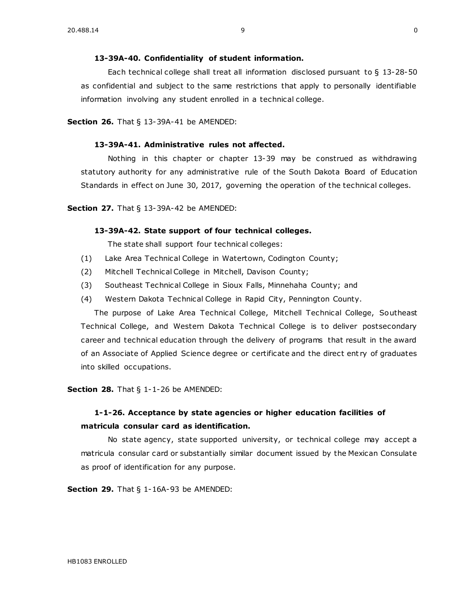Each technical college shall treat all information disclosed pursuant to § [13-28-50](https://sdlegislature.gov/Statutes/Codified_Laws/DisplayStatute.aspx?Type=Statute&Statute=13-28-50) as confidential and subject to the same restrictions that apply to personally identifiable information involving any student enrolled in a technical college.

**Section 26.** [That § 13-39A-41 be AMENDED:](https://sdlegislature.gov/Statutes/Codified_Laws/DisplayStatute.aspx?Type=Statute&Statute=13-39A-41)

# **[13-39A-41. A](https://sdlegislature.gov/Statutes/Codified_Laws/DisplayStatute.aspx?Type=Statute&Statute=13-39A-41)dministrative rules not affected.**

Nothing in this chapter or chapter [13-39](https://sdlegislature.gov/Statutes/Codified_Laws/DisplayStatute.aspx?Type=Statute&Statute=13-39) may be construed as withdrawing statutory authority for any administrative rule of the South Dakota Board of Education Standards in effect on June 30, 2017, governing the operation of the technical colleges.

**Section 27.** [That § 13-39A-42 be AMENDED:](https://sdlegislature.gov/Statutes/Codified_Laws/DisplayStatute.aspx?Type=Statute&Statute=13-39A-42)

### **[13-39A-42. S](https://sdlegislature.gov/Statutes/Codified_Laws/DisplayStatute.aspx?Type=Statute&Statute=13-39A-42)tate support of four technical colleges.**

The state shall support four technical colleges:

- (1) Lake Area Technical College in Watertown, Codington County;
- (2) Mitchell Technical College in Mitchell, Davison County;
- (3) Southeast Technical College in Sioux Falls, Minnehaha County; and
- (4) Western Dakota Technical College in Rapid City, Pennington County.

The purpose of Lake Area Technical College, Mitchell Technical College, Southeast Technical College, and Western Dakota Technical College is to deliver postsecondary career and technical education through the delivery of programs that result in the award of an Associate of Applied Science degree or certificate and the direct ent ry of graduates into skilled occupations.

**Section 28.** [That § 1-1-26 be AMENDED:](https://sdlegislature.gov/Statutes/Codified_Laws/DisplayStatute.aspx?Type=Statute&Statute=1-1-26)

# **[1-1-26. A](https://sdlegislature.gov/Statutes/Codified_Laws/DisplayStatute.aspx?Type=Statute&Statute=1-1-26)cceptance by state agencies or higher education facilities of matricula consular card as identification.**

No state agency, state supported university, or technical college may accept a matricula consular card or substantially similar document issued by the Mexican Consulate as proof of identification for any purpose.

**Section 29.** [That § 1-16A-93 be AMENDED:](https://sdlegislature.gov/Statutes/Codified_Laws/DisplayStatute.aspx?Type=Statute&Statute=1-16A-93)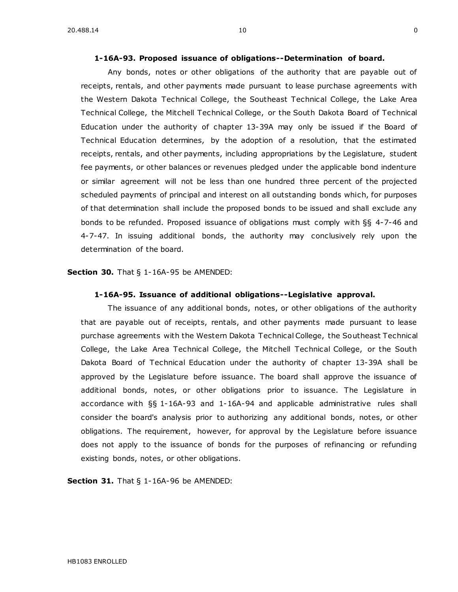### **[1-16A-93. P](https://sdlegislature.gov/Statutes/Codified_Laws/DisplayStatute.aspx?Type=Statute&Statute=1-16A-93)roposed issuance of obligations--Determination of board.**

Any bonds, notes or other obligations of the authority that are payable out of receipts, rentals, and other payments made pursuant to lease purchase agreements with the Western Dakota Technical College, the Southeast Technical College, the Lake Area Technical College, the Mitchell Technical College, or the South Dakota Board of Technical Education under the authority of chapter [13-39A](https://sdlegislature.gov/Statutes/Codified_Laws/DisplayStatute.aspx?Type=Statute&Statute=13-39A) may only be issued if the Board of Technical Education determines, by the adoption of a resolution, that the estimated receipts, rentals, and other payments, including appropriations by the Legislature, student fee payments, or other balances or revenues pledged under the applicable bond indenture or similar agreement will not be less than one hundred three percent of the projected scheduled payments of principal and interest on all outstanding bonds which, for purposes of that determination shall include the proposed bonds to be issued and shall exclude any bonds to be refunded. Proposed issuance of obligations must comply with §§ [4-7-46](https://sdlegislature.gov/Statutes/Codified_Laws/DisplayStatute.aspx?Type=Statute&Statute=4-7-46) and [4-7-47.](https://sdlegislature.gov/Statutes/Codified_Laws/DisplayStatute.aspx?Type=Statute&Statute=4-7-47) In issuing additional bonds, the authority may conclusively rely upon the determination of the board.

### **Section 30.** [That § 1-16A-95 be AMENDED:](https://sdlegislature.gov/Statutes/Codified_Laws/DisplayStatute.aspx?Type=Statute&Statute=1-16A-95)

### **[1-16A-95. I](https://sdlegislature.gov/Statutes/Codified_Laws/DisplayStatute.aspx?Type=Statute&Statute=1-16A-95)ssuance of additional obligations--Legislative approval.**

The issuance of any additional bonds, notes, or other obligations of the authority that are payable out of receipts, rentals, and other payments made pursuant to lease purchase agreements with the Western Dakota Technical College, the Southeast Technical College, the Lake Area Technical College, the Mitchell Technical College, or the South Dakota Board of Technical Education under the authority of chapter [13-39A](https://sdlegislature.gov/Statutes/Codified_Laws/DisplayStatute.aspx?Type=Statute&Statute=13-39A) shall be approved by the Legislature before issuance. The board shall approve the issuance of additional bonds, notes, or other obligations prior to issuance. The Legislature in accordance with §§ [1-16A-93](https://sdlegislature.gov/Statutes/Codified_Laws/DisplayStatute.aspx?Type=Statute&Statute=1-16A-93) and [1-16A-94](https://sdlegislature.gov/Statutes/Codified_Laws/DisplayStatute.aspx?Type=Statute&Statute=1-16A-94) and applicable administrative rules shall consider the board's analysis prior to authorizing any additional bonds, notes, or other obligations. The requirement, however, for approval by the Legislature before issuance does not apply to the issuance of bonds for the purposes of refinancing or refunding existing bonds, notes, or other obligations.

**Section 31.** [That § 1-16A-96 be AMENDED:](https://sdlegislature.gov/Statutes/Codified_Laws/DisplayStatute.aspx?Type=Statute&Statute=1-16A-96)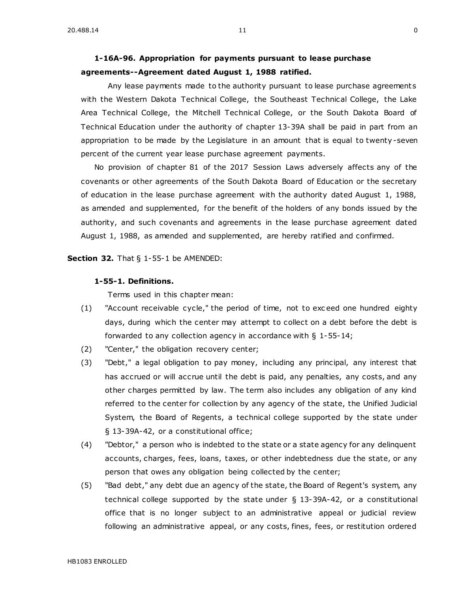# **[1-16A-96. A](https://sdlegislature.gov/Statutes/Codified_Laws/DisplayStatute.aspx?Type=Statute&Statute=1-16A-96)ppropriation for payments pursuant to lease purchase agreements--Agreement dated August 1, 1988 ratified.**

Any lease payments made to the authority pursuant to lease purchase agreements with the Western Dakota Technical College, the Southeast Technical College, the Lake Area Technical College, the Mitchell Technical College, or the South Dakota Board of Technical Education under the authority of chapter [13-39A](https://sdlegislature.gov/Statutes/Codified_Laws/DisplayStatute.aspx?Type=Statute&Statute=13-39A) shall be paid in part from an appropriation to be made by the Legislature in an amount that is equal to twenty-seven percent of the current year lease purchase agreement payments.

No provision of chapter 81 of the 2017 Session Laws adversely affects any of the covenants or other agreements of the South Dakota Board of Education or the secretary of education in the lease purchase agreement with the authority dated August 1, 1988, as amended and supplemented, for the benefit of the holders of any bonds issued by the authority, and such covenants and agreements in the lease purchase agreement dated August 1, 1988, as amended and supplemented, are hereby ratified and confirmed.

**Section 32.** [That § 1-55-1 be AMENDED:](https://sdlegislature.gov/Statutes/Codified_Laws/DisplayStatute.aspx?Type=Statute&Statute=1-55-1)

### **[1-55-1. D](https://sdlegislature.gov/Statutes/Codified_Laws/DisplayStatute.aspx?Type=Statute&Statute=1-55-1)efinitions.**

Terms used in this chapter mean:

- (1) "Account receivable cycle," the period of time, not to exc eed one hundred eighty days, during which the center may attempt to collect on a debt before the debt is forwarded to any collection agency in accordance with § [1-55-14;](https://sdlegislature.gov/Statutes/Codified_Laws/DisplayStatute.aspx?Type=Statute&Statute=1-55-14)
- (2) "Center," the obligation recovery center;
- (3) "Debt," a legal obligation to pay money, including any principal, any interest that has accrued or will accrue until the debt is paid, any penalties, any costs, and any other charges permitted by law. The term also includes any obligation of any kind referred to the center for collection by any agency of the state, the Unified Judicial System, the Board of Regents, a technical college supported by the state under § [13-39A-42,](https://sdlegislature.gov/Statutes/Codified_Laws/DisplayStatute.aspx?Type=Statute&Statute=13-39A-42) or a constitutional office;
- (4) "Debtor," a person who is indebted to the state or a state agency for any delinquent accounts, charges, fees, loans, taxes, or other indebtedness due the state, or any person that owes any obligation being collected by the center;
- (5) "Bad debt," any debt due an agency of the state, the Board of Regent's system, any technical college supported by the state under § [13-39A-42,](https://sdlegislature.gov/Statutes/Codified_Laws/DisplayStatute.aspx?Type=Statute&Statute=13-39A-42) or a constitutional office that is no longer subject to an administrative appeal or judicial review following an administrative appeal, or any costs, fines, fees, or restitution ordered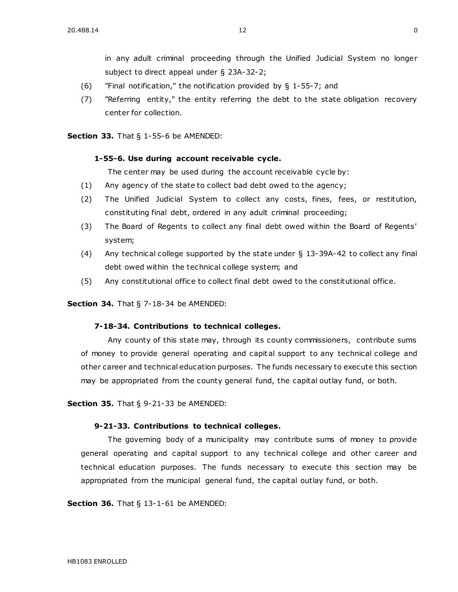in any adult criminal proceeding through the Unified Judicial System no longer subject to direct appeal under § [23A-32-2;](https://sdlegislature.gov/Statutes/Codified_Laws/DisplayStatute.aspx?Type=Statute&Statute=23A-32-2)

- (6) "Final notification," the notification provided by § [1-55-7;](https://sdlegislature.gov/Statutes/Codified_Laws/DisplayStatute.aspx?Type=Statute&Statute=1-55-7) and
- (7) "Referring entity," the entity referring the debt to the state obligation recovery center for collection.

### **Section 33.** [That § 1-55-6 be AMENDED:](https://sdlegislature.gov/Statutes/Codified_Laws/DisplayStatute.aspx?Type=Statute&Statute=1-55-6)

## **[1-55-6. U](https://sdlegislature.gov/Statutes/Codified_Laws/DisplayStatute.aspx?Type=Statute&Statute=1-55-6)se during account receivable cycle.**

The center may be used during the account receivable cycle by:

- (1) Any agency of the state to collect bad debt owed to the agency;
- (2) The Unified Judicial System to collect any costs, fines, fees, or restitution, constituting final debt, ordered in any adult criminal proceeding;
- (3) The Board of Regents to collect any final debt owed within the Board of Regents' system;
- (4) Any technical college supported by the state under § [13-39A-42](https://sdlegislature.gov/Statutes/Codified_Laws/DisplayStatute.aspx?Type=Statute&Statute=13-39A-42) to collect any final debt owed within the technical college system; and
- (5) Any constitutional office to collect final debt owed to the constitutional office.

### **Section 34.** [That § 7-18-34 be AMENDED:](https://sdlegislature.gov/Statutes/Codified_Laws/DisplayStatute.aspx?Type=Statute&Statute=7-18-34)

# **[7-18-34. C](https://sdlegislature.gov/Statutes/Codified_Laws/DisplayStatute.aspx?Type=Statute&Statute=7-18-34)ontributions to technical colleges.**

Any county of this state may, through its county commissioners, contribute sums of money to provide general operating and capital support to any technical college and other career and technical education purposes. The funds necessary to execute this section may be appropriated from the county general fund, the capital outlay fund, or both.

**Section 35.** [That § 9-21-33 be AMENDED:](https://sdlegislature.gov/Statutes/Codified_Laws/DisplayStatute.aspx?Type=Statute&Statute=9-21-33)

#### **[9-21-33. C](https://sdlegislature.gov/Statutes/Codified_Laws/DisplayStatute.aspx?Type=Statute&Statute=9-21-33)ontributions to technical colleges.**

The governing body of a municipality may contribute sums of money to provide general operating and capital support to any technical college and other career and technical education purposes. The funds necessary to execute this section may be appropriated from the municipal general fund, the capital outlay fund, or both.

**Section 36.** [That § 13-1-61 be AMENDED:](https://sdlegislature.gov/Statutes/Codified_Laws/DisplayStatute.aspx?Type=Statute&Statute=13-1-61)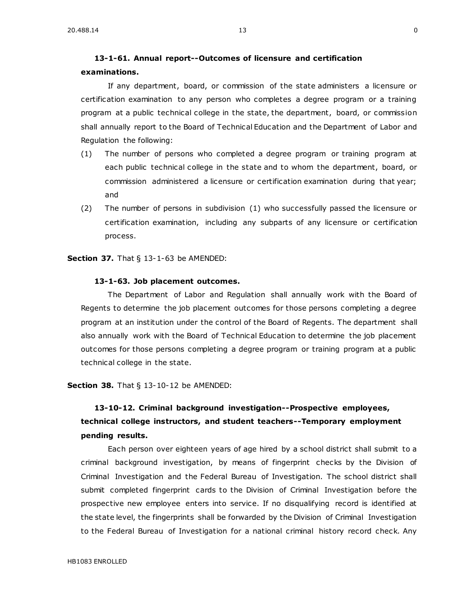# **[13-1-61. A](https://sdlegislature.gov/Statutes/Codified_Laws/DisplayStatute.aspx?Type=Statute&Statute=13-1-61)nnual report--Outcomes of licensure and certification examinations.**

If any department, board, or commission of the state administers a licensure or certification examination to any person who completes a degree program or a training program at a public technical college in the state, the department, board, or commission shall annually report to the Board of Technical Education and the Department of Labor and Regulation the following:

- (1) The number of persons who completed a degree program or training program at each public technical college in the state and to whom the department, board, or commission administered a licensure or certification examination during that year; and
- (2) The number of persons in subdivision (1) who successfully passed the licensure or certification examination, including any subparts of any licensure or certification process.

**Section 37.** [That § 13-1-63 be AMENDED:](https://sdlegislature.gov/Statutes/Codified_Laws/DisplayStatute.aspx?Type=Statute&Statute=13-1-63)

### **[13-1-63. J](https://sdlegislature.gov/Statutes/Codified_Laws/DisplayStatute.aspx?Type=Statute&Statute=13-1-63)ob placement outcomes.**

The Department of Labor and Regulation shall annually work with the Board of Regents to determine the job placement outcomes for those persons completing a degree program at an institution under the control of the Board of Regents. The department shall also annually work with the Board of Technical Education to determine the job placement outcomes for those persons completing a degree program or training program at a public technical college in the state.

**Section 38.** [That § 13-10-12 be AMENDED:](https://sdlegislature.gov/Statutes/Codified_Laws/DisplayStatute.aspx?Type=Statute&Statute=13-10-12)

# **[13-10-12. C](https://sdlegislature.gov/Statutes/Codified_Laws/DisplayStatute.aspx?Type=Statute&Statute=13-10-12)riminal background investigation--Prospective employees, technical college instructors, and student teachers--Temporary employment pending results.**

Each person over eighteen years of age hired by a school district shall submit to a criminal background investigation, by means of fingerprint checks by the Division of Criminal Investigation and the Federal Bureau of Investigation. The school district shall submit completed fingerprint cards to the Division of Criminal Investigation before the prospective new employee enters into service. If no disqualifying record is identified at the state level, the fingerprints shall be forwarded by the Division of Criminal Investigation to the Federal Bureau of Investigation for a national criminal history record check. Any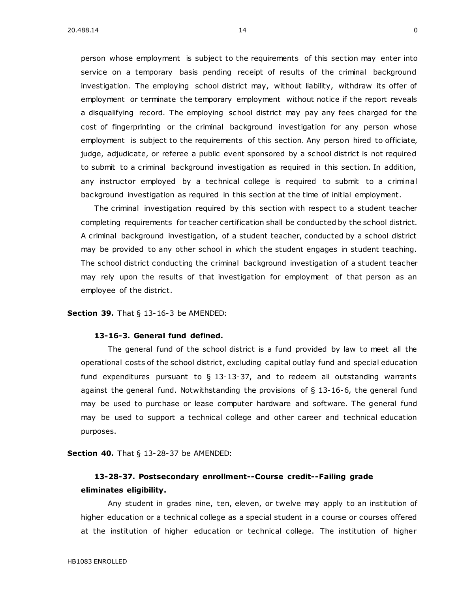person whose employment is subject to the requirements of this section may enter into service on a temporary basis pending receipt of results of the criminal background investigation. The employing school district may, without liability, withdraw its offer of employment or terminate the temporary employment without notice if the report reveals a disqualifying record. The employing school district may pay any fees charged for the cost of fingerprinting or the criminal background investigation for any person whose employment is subject to the requirements of this section. Any person hired to officiate, judge, adjudicate, or referee a public event sponsored by a school district is not required to submit to a criminal background investigation as required in this section. In addition, any instructor employed by a technical college is required to submit to a criminal background investigation as required in this section at the time of initial employment.

The criminal investigation required by this section with respect to a student teacher completing requirements for teacher certification shall be conducted by the school district. A criminal background investigation, of a student teacher, conducted by a school district may be provided to any other school in which the student engages in student teaching. The school district conducting the criminal background investigation of a student teacher may rely upon the results of that investigation for employment of that person as an employee of the district.

**Section 39.** [That § 13-16-3 be AMENDED:](https://sdlegislature.gov/Statutes/Codified_Laws/DisplayStatute.aspx?Type=Statute&Statute=13-16-3)

#### **[13-16-3. G](https://sdlegislature.gov/Statutes/Codified_Laws/DisplayStatute.aspx?Type=Statute&Statute=13-16-3)eneral fund defined.**

The general fund of the school district is a fund provided by law to meet all the operational costs of the school district, excluding capital outlay fund and special education fund expenditures pursuant to  $\S$  [13-13-37,](https://sdlegislature.gov/Statutes/Codified_Laws/DisplayStatute.aspx?Type=Statute&Statute=13-13-37) and to redeem all outstanding warrants against the general fund. Notwithstanding the provisions of § [13-16-6,](https://sdlegislature.gov/Statutes/Codified_Laws/DisplayStatute.aspx?Type=Statute&Statute=13-16-6) the general fund may be used to purchase or lease computer hardware and software. The general fund may be used to support a technical college and other career and technical education purposes.

**Section 40.** [That § 13-28-37 be AMENDED:](https://sdlegislature.gov/Statutes/Codified_Laws/DisplayStatute.aspx?Type=Statute&Statute=13-28-37)

# **[13-28-37. P](https://sdlegislature.gov/Statutes/Codified_Laws/DisplayStatute.aspx?Type=Statute&Statute=13-28-37)ostsecondary enrollment--Course credit--Failing grade eliminates eligibility.**

Any student in grades nine, ten, eleven, or twelve may apply to an institution of higher education or a technical college as a special student in a course or courses offered at the institution of higher education or technical college. The institution of higher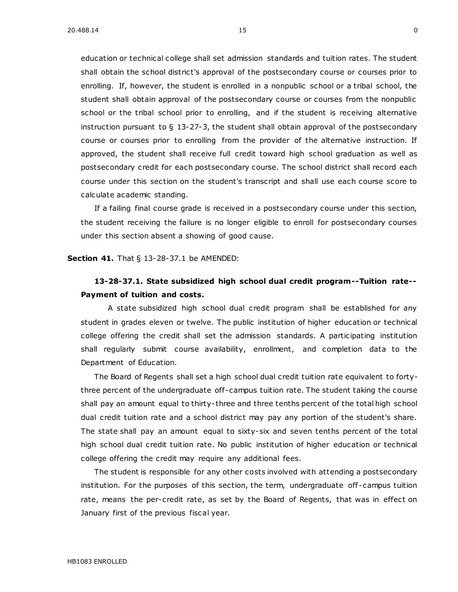education or technical college shall set admission standards and tuition rates. The student shall obtain the school district's approval of the postsecondary course or courses prior to enrolling. If, however, the student is enrolled in a nonpublic school or a tribal school, the student shall obtain approval of the postsecondary course or courses from the nonpublic school or the tribal school prior to enrolling, and if the student is receiving alternative instruction pursuant to  $\S$  [13-27-3,](https://sdlegislature.gov/Statutes/Codified_Laws/DisplayStatute.aspx?Type=Statute&Statute=13-27-3) the student shall obtain approval of the postsecondary course or courses prior to enrolling from the provider of the alternative instruction. If approved, the student shall receive full credit toward high school graduation as well as postsecondary credit for each postsecondary course. The school district shall record each course under this section on the student's transcript and shall use each course score to calculate academic standing.

If a failing final course grade is received in a postsecondary course under this section, the student receiving the failure is no longer eligible to enroll for postsecondary courses under this section absent a showing of good cause.

**Section 41.** [That § 13-28-37.1 be AMENDED:](https://sdlegislature.gov/Statutes/Codified_Laws/DisplayStatute.aspx?Type=Statute&Statute=13-28-37.1)

# **[13-28-37.1. S](https://sdlegislature.gov/Statutes/Codified_Laws/DisplayStatute.aspx?Type=Statute&Statute=13-28-37.1)tate subsidized high school dual credit program--Tuition rate-- Payment of tuition and costs.**

A state subsidized high school dual credit program shall be established for any student in grades eleven or twelve. The public institution of higher education or technical college offering the credit shall set the admission standards. A participating institution shall regularly submit course availability, enrollment, and completion data to the Department of Education.

The Board of Regents shall set a high school dual credit tuition rate equivalent to fortythree percent of the undergraduate off-campus tuition rate. The student taking the course shall pay an amount equal to thirty-three and three tenths percent of the total high school dual credit tuition rate and a school district may pay any portion of the student's share. The state shall pay an amount equal to sixty-six and seven tenths percent of the total high school dual credit tuition rate. No public institution of higher education or technical college offering the credit may require any additional fees.

The student is responsible for any other costs involved with attending a postsecondary institution. For the purposes of this section, the term, undergraduate off -campus tuition rate, means the per-credit rate, as set by the Board of Regents, that was in effect on January first of the previous fiscal year.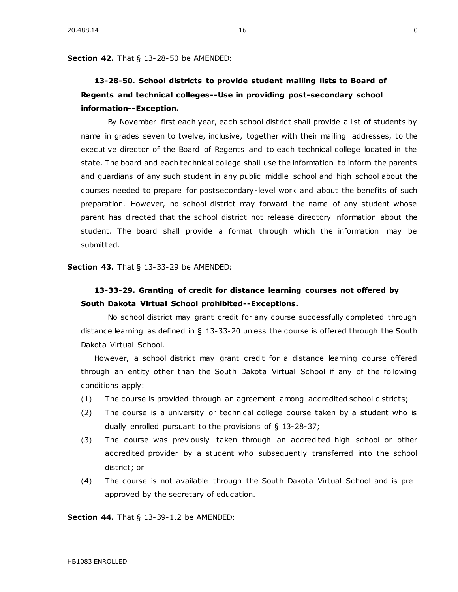**Section 42.** [That § 13-28-50 be AMENDED:](https://sdlegislature.gov/Statutes/Codified_Laws/DisplayStatute.aspx?Type=Statute&Statute=13-28-50)

# **[13-28-50. S](https://sdlegislature.gov/Statutes/Codified_Laws/DisplayStatute.aspx?Type=Statute&Statute=13-28-50)chool districts to provide student mailing lists to Board of Regents and technical colleges--Use in providing post-secondary school information--Exception.**

By November first each year, each school district shall provide a list of students by name in grades seven to twelve, inclusive, together with their mailing addresses, to the executive director of the Board of Regents and to each technical college located in the state. The board and each technical college shall use the information to inform the parents and guardians of any such student in any public middle school and high school about the courses needed to prepare for postsecondary-level work and about the benefits of such preparation. However, no school district may forward the name of any student whose parent has directed that the school district not release directory information about the student. The board shall provide a format through which the information may be submitted.

**Section 43.** [That § 13-33-29 be AMENDED:](https://sdlegislature.gov/Statutes/Codified_Laws/DisplayStatute.aspx?Type=Statute&Statute=13-33-29)

# **[13-33-29. G](https://sdlegislature.gov/Statutes/Codified_Laws/DisplayStatute.aspx?Type=Statute&Statute=13-33-29)ranting of credit for distance learning courses not offered by South Dakota Virtual School prohibited--Exceptions.**

No school district may grant credit for any course successfully completed through distance learning as defined in § [13-33-20](https://sdlegislature.gov/Statutes/Codified_Laws/DisplayStatute.aspx?Type=Statute&Statute=13-33-20) unless the course is offered through the South Dakota Virtual School.

However, a school district may grant credit for a distance learning course offered through an entity other than the South Dakota Virtual School if any of the following conditions apply:

- (1) The course is provided through an agreement among accredited school districts;
- (2) The course is a university or technical college course taken by a student who is dually enrolled pursuant to the provisions of § [13-28-37;](https://sdlegislature.gov/Statutes/Codified_Laws/DisplayStatute.aspx?Type=Statute&Statute=13-28-37)
- (3) The course was previously taken through an accredited high school or other accredited provider by a student who subsequently transferred into the school district; or
- (4) The course is not available through the South Dakota Virtual School and is preapproved by the secretary of education.

**Section 44.** [That § 13-39-1.2 be AMENDED:](https://sdlegislature.gov/Statutes/Codified_Laws/DisplayStatute.aspx?Type=Statute&Statute=13-39-1.2)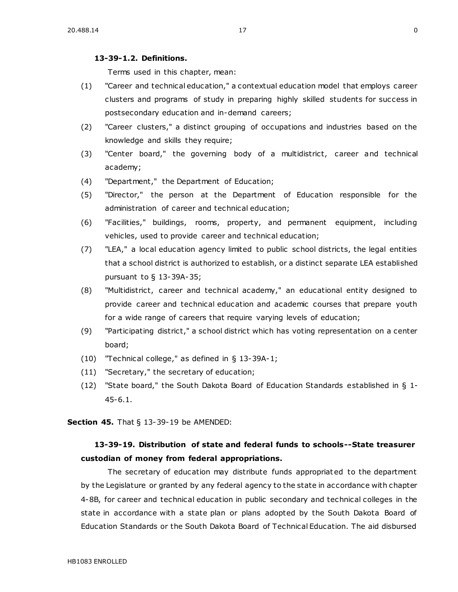# **[13-39-1.2. D](https://sdlegislature.gov/Statutes/Codified_Laws/DisplayStatute.aspx?Type=Statute&Statute=13-39-1.2)efinitions.**

Terms used in this chapter, mean:

- (1) "Career and technical education," a contextual education model that employs career clusters and programs of study in preparing highly skilled students for success in postsecondary education and in-demand careers;
- (2) "Career clusters," a distinct grouping of occupations and industries based on the knowledge and skills they require;
- (3) "Center board," the governing body of a multidistrict, career and technical academy;
- (4) "Department," the Department of Education;
- (5) "Director," the person at the Department of Education responsible for the administration of career and technical education;
- (6) "Facilities," buildings, rooms, property, and permanent equipment, including vehicles, used to provide career and technical education;
- (7) "LEA," a local education agency limited to public school districts, the legal entities that a school district is authorized to establish, or a distinct separate LEA established pursuant to § [13-39A-35;](https://sdlegislature.gov/Statutes/Codified_Laws/DisplayStatute.aspx?Type=Statute&Statute=13-39A-35)
- (8) "Multidistrict, career and technical academy," an educational entity designed to provide career and technical education and academic courses that prepare youth for a wide range of careers that require varying levels of education;
- (9) "Participating district," a school district which has voting representation on a center board;
- (10) "Technical college," as defined in § [13-39A-1;](https://sdlegislature.gov/Statutes/Codified_Laws/DisplayStatute.aspx?Type=Statute&Statute=13-39A-1)
- (11) "Secretary," the secretary of education;
- (12) "State board," the South Dakota Board of Education Standards established in § [1-](https://sdlegislature.gov/Statutes/Codified_Laws/DisplayStatute.aspx?Type=Statute&Statute=1-45-6.1) [45-6.1.](https://sdlegislature.gov/Statutes/Codified_Laws/DisplayStatute.aspx?Type=Statute&Statute=1-45-6.1)

**Section 45.** [That § 13-39-19 be AMENDED:](https://sdlegislature.gov/Statutes/Codified_Laws/DisplayStatute.aspx?Type=Statute&Statute=13-39-19)

# **[13-39-19. D](https://sdlegislature.gov/Statutes/Codified_Laws/DisplayStatute.aspx?Type=Statute&Statute=13-39-19)istribution of state and federal funds to schools--State treasurer custodian of money from federal appropriations.**

The secretary of education may distribute funds appropriated to the department by the Legislature or granted by any federal agency to the state in accordance with chapter [4-8B,](https://sdlegislature.gov/Statutes/Codified_Laws/DisplayStatute.aspx?Type=Statute&Statute=4-8B) for career and technical education in public secondary and technical colleges in the state in accordance with a state plan or plans adopted by the South Dakota Board of Education Standards or the South Dakota Board of Technical Education. The aid disbursed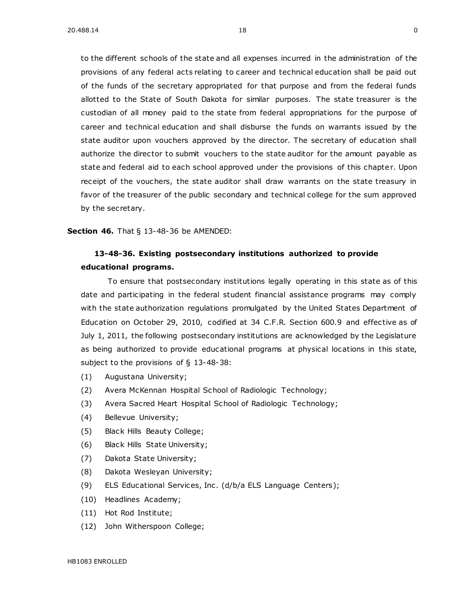to the different schools of the state and all expenses incurred in the administration of the provisions of any federal acts relating to career and technical education shall be paid out of the funds of the secretary appropriated for that purpose and from the federal funds allotted to the State of South Dakota for similar purposes. The state treasurer is the custodian of all money paid to the state from federal appropriations for the purpose of career and technical education and shall disburse the funds on warrants issued by the state auditor upon vouchers approved by the director. The secretary of education shall authorize the director to submit vouchers to the state auditor for the amount payable as state and federal aid to each school approved under the provisions of this chapter. Upon receipt of the vouchers, the state auditor shall draw warrants on the state treasury in favor of the treasurer of the public secondary and technical college for the sum approved by the secretary.

**Section 46.** [That § 13-48-36 be AMENDED:](https://sdlegislature.gov/Statutes/Codified_Laws/DisplayStatute.aspx?Type=Statute&Statute=13-48-36)

# **[13-48-36. E](https://sdlegislature.gov/Statutes/Codified_Laws/DisplayStatute.aspx?Type=Statute&Statute=13-48-36)xisting postsecondary institutions authorized to provide educational programs.**

To ensure that postsecondary institutions legally operating in this state as of this date and participating in the federal student financial assistance programs may comply with the state authorization regulations promulgated by the United States Department of Education on October 29, 2010, codified at 34 C.F.R. Section 600.9 and effective as of July 1, 2011, the following postsecondary institutions are acknowledged by the Legislature as being authorized to provide educational programs at physical locations in this state, subject to the provisions of § [13-48-38:](https://sdlegislature.gov/Statutes/Codified_Laws/DisplayStatute.aspx?Type=Statute&Statute=13-48-38)

- (1) Augustana University;
- (2) Avera McKennan Hospital School of Radiologic Technology;
- (3) Avera Sacred Heart Hospital School of Radiologic Technology;
- (4) Bellevue University;
- (5) Black Hills Beauty College;
- (6) Black Hills State University;
- (7) Dakota State University;
- (8) Dakota Wesleyan University;
- (9) ELS Educational Services, Inc. (d/b/a ELS Language Centers);
- (10) Headlines Academy;
- (11) Hot Rod Institute;
- (12) John Witherspoon College;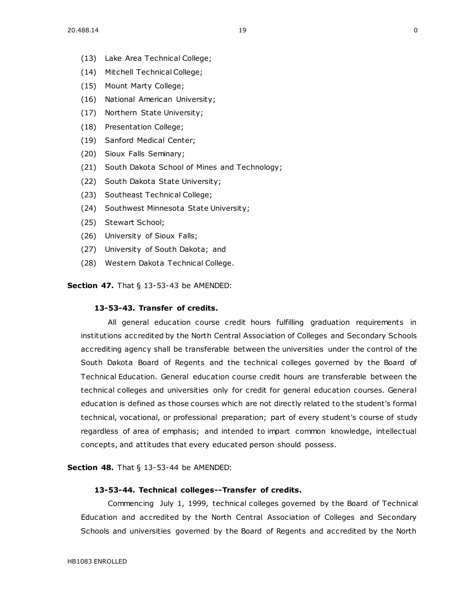- (13) Lake Area Technical College;
- (14) Mitchell Technical College;
- (15) Mount Marty College;
- (16) National American University;
- (17) Northern State University;
- (18) Presentation College;
- (19) Sanford Medical Center;
- (20) Sioux Falls Seminary;
- (21) South Dakota School of Mines and Technology;
- (22) South Dakota State University;
- (23) Southeast Technical College;
- (24) Southwest Minnesota State University;
- (25) Stewart School;
- (26) University of Sioux Falls;
- (27) University of South Dakota; and
- (28) Western Dakota Technical College.

**Section 47.** [That § 13-53-43 be AMENDED:](https://sdlegislature.gov/Statutes/Codified_Laws/DisplayStatute.aspx?Type=Statute&Statute=13-53-43)

# **[13-53-43. T](https://sdlegislature.gov/Statutes/Codified_Laws/DisplayStatute.aspx?Type=Statute&Statute=13-53-43)ransfer of credits.**

All general education course credit hours fulfilling graduation requirements in institutions accredited by the North Central Association of Colleges and Secondary Schools accrediting agency shall be transferable between the universities under the control of the South Dakota Board of Regents and the technical colleges governed by the Board of Technical Education. General education course credit hours are transferable between the technical colleges and universities only for credit for general education courses. General education is defined as those courses which are not directly related to the student's formal technical, vocational, or professional preparation; part of every student's course of study regardless of area of emphasis; and intended to impart common knowledge, intellectual concepts, and attitudes that every educated person should possess.

**Section 48.** [That § 13-53-44 be AMENDED:](https://sdlegislature.gov/Statutes/Codified_Laws/DisplayStatute.aspx?Type=Statute&Statute=13-53-44)

#### **[13-53-44. T](https://sdlegislature.gov/Statutes/Codified_Laws/DisplayStatute.aspx?Type=Statute&Statute=13-53-44)echnical colleges--Transfer of credits.**

Commencing July 1, 1999, technical colleges governed by the Board of Technical Education and accredited by the North Central Association of Colleges and Secondary Schools and universities governed by the Board of Regents and accredited by the North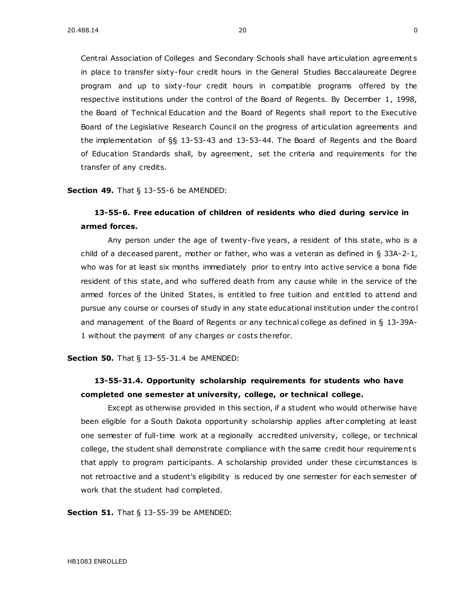Central Association of Colleges and Secondary Schools shall have articulation agreement s in place to transfer sixty-four credit hours in the General Studies Baccalaureate Degree program and up to sixty-four credit hours in compatible programs offered by the respective institutions under the control of the Board of Regents. By December 1, 1998, the Board of Technical Education and the Board of Regents shall report to the Executive Board of the Legislative Research Council on the progress of articulation agreements and the implementation of §§ [13-53-43](https://sdlegislature.gov/Statutes/Codified_Laws/DisplayStatute.aspx?Type=Statute&Statute=13-53-43) and [13-53-44.](https://sdlegislature.gov/Statutes/Codified_Laws/DisplayStatute.aspx?Type=Statute&Statute=13-53-44) The Board of Regents and the Board of Education Standards shall, by agreement, set the criteria and requirements for the transfer of any credits.

**Section 49.** [That § 13-55-6 be AMENDED:](https://sdlegislature.gov/Statutes/Codified_Laws/DisplayStatute.aspx?Type=Statute&Statute=13-55-6)

# **[13-55-6. F](https://sdlegislature.gov/Statutes/Codified_Laws/DisplayStatute.aspx?Type=Statute&Statute=13-55-6)ree education of children of residents who died during service in armed forces.**

Any person under the age of twenty-five years, a resident of this state, who is a child of a deceased parent, mother or father, who was a veteran as defined in  $\S$  [33A-2-1,](https://sdlegislature.gov/Statutes/Codified_Laws/DisplayStatute.aspx?Type=Statute&Statute=33A-2-1) who was for at least six months immediately prior to entry into active service a bona fide resident of this state, and who suffered death from any cause while in the service of the armed forces of the United States, is entitled to free tuition and entitled to attend and pursue any course or courses of study in any state educational institution under the control and management of the Board of Regents or any technical college as defined in § [13-39A-](https://sdlegislature.gov/Statutes/Codified_Laws/DisplayStatute.aspx?Type=Statute&Statute=13-39A-1)[1](https://sdlegislature.gov/Statutes/Codified_Laws/DisplayStatute.aspx?Type=Statute&Statute=13-39A-1) without the payment of any charges or costs therefor.

**Section 50.** [That § 13-55-31.4 be AMENDED:](https://sdlegislature.gov/Statutes/Codified_Laws/DisplayStatute.aspx?Type=Statute&Statute=13-55-31.4)

# **[13-55-31.4. O](https://sdlegislature.gov/Statutes/Codified_Laws/DisplayStatute.aspx?Type=Statute&Statute=13-55-31.4)pportunity scholarship requirements for students who have completed one semester at university, college, or technical college.**

Except as otherwise provided in this section, if a student who would otherwise have been eligible for a South Dakota opportunity scholarship applies after completing at least one semester of full-time work at a regionally accredited university, college, or technical college, the student shall demonstrate compliance with the same credit hour requirement s that apply to program participants. A scholarship provided under these circumstances is not retroactive and a student's eligibility is reduced by one semester for each semester of work that the student had completed.

**Section 51.** [That § 13-55-39 be AMENDED:](https://sdlegislature.gov/Statutes/Codified_Laws/DisplayStatute.aspx?Type=Statute&Statute=13-55-39)

HB1083 ENROLLED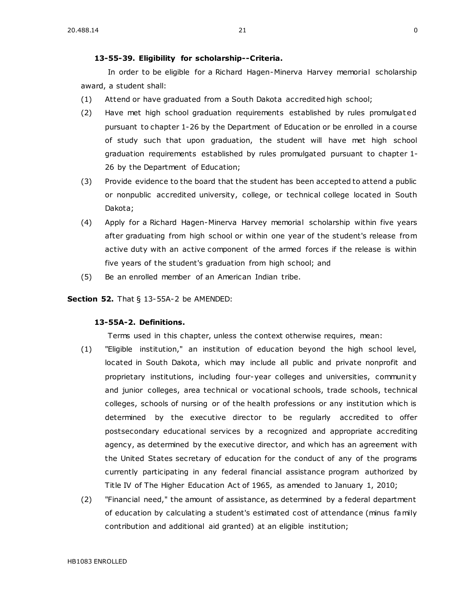In order to be eligible for a Richard Hagen-Minerva Harvey memorial scholarship award, a student shall:

- (1) Attend or have graduated from a South Dakota accredited high school;
- (2) Have met high school graduation requirements established by rules promulgat ed pursuant to chapter [1-26](https://sdlegislature.gov/Statutes/Codified_Laws/DisplayStatute.aspx?Type=Statute&Statute=1-26) by the Department of Education or be enrolled in a course of study such that upon graduation, the student will have met high school graduation requirements established by rules promulgated pursuant to chapter [1-](https://sdlegislature.gov/Statutes/Codified_Laws/DisplayStatute.aspx?Type=Statute&Statute=1-26) [26](https://sdlegislature.gov/Statutes/Codified_Laws/DisplayStatute.aspx?Type=Statute&Statute=1-26) by the Department of Education;
- (3) Provide evidence to the board that the student has been accepted to attend a public or nonpublic accredited university, college, or technical college located in South Dakota;
- (4) Apply for a Richard Hagen-Minerva Harvey memorial scholarship within five years after graduating from high school or within one year of the student's release from active duty with an active component of the armed forces if the release is within five years of the student's graduation from high school; and
- (5) Be an enrolled member of an American Indian tribe.

**Section 52.** [That § 13-55A-2 be AMENDED:](https://sdlegislature.gov/Statutes/Codified_Laws/DisplayStatute.aspx?Type=Statute&Statute=13-55A-2)

# **[13-55A-2. D](https://sdlegislature.gov/Statutes/Codified_Laws/DisplayStatute.aspx?Type=Statute&Statute=13-55A-2)efinitions.**

Terms used in this chapter, unless the context otherwise requires, mean:

- (1) "Eligible institution," an institution of education beyond the high school level, located in South Dakota, which may include all public and private nonprofit and proprietary institutions, including four-year colleges and universities, communit y and junior colleges, area technical or vocational schools, trade schools, technical colleges, schools of nursing or of the health professions or any institution which is determined by the executive director to be regularly accredited to offer postsecondary educational services by a recognized and appropriate accrediting agency, as determined by the executive director, and which has an agreement with the United States secretary of education for the conduct of any of the programs currently participating in any federal financial assistance program authorized by Title IV of The Higher Education Act of 1965, as amended to January 1, 2010;
- (2) "Financial need," the amount of assistance, as determined by a federal department of education by calculating a student's estimated cost of attendance (minus family contribution and additional aid granted) at an eligible institution;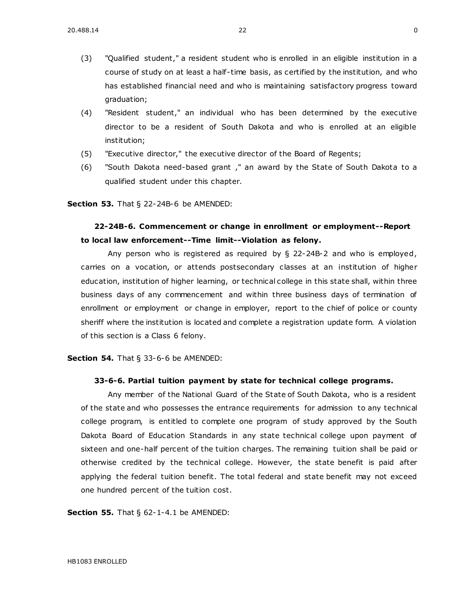- (3) "Qualified student," a resident student who is enrolled in an eligible institution in a course of study on at least a half-time basis, as certified by the institution, and who has established financial need and who is maintaining satisfactory progress toward graduation;
- (4) "Resident student," an individual who has been determined by the executive director to be a resident of South Dakota and who is enrolled at an eligible institution;
- (5) "Executive director," the executive director of the Board of Regents;
- (6) "South Dakota need-based grant ," an award by the State of South Dakota to a qualified student under this chapter.

#### **Section 53.** [That § 22-24B-6 be AMENDED:](https://sdlegislature.gov/Statutes/Codified_Laws/DisplayStatute.aspx?Type=Statute&Statute=22-24B-6)

# **[22-24B-6. C](https://sdlegislature.gov/Statutes/Codified_Laws/DisplayStatute.aspx?Type=Statute&Statute=22-24B-6)ommencement or change in enrollment or employment--Report to local law enforcement--Time limit--Violation as felony.**

Any person who is registered as required by § [22-24B-2](https://sdlegislature.gov/Statutes/Codified_Laws/DisplayStatute.aspx?Type=Statute&Statute=22-24B-2) and who is employed, carries on a vocation, or attends postsecondary classes at an institution of higher education, institution of higher learning, or technical college in this state shall, within three business days of any commencement and within three business days of termination of enrollment or employment or change in employer, report to the chief of police or county sheriff where the institution is located and complete a registration update form. A violation of this section is a Class 6 felony.

**Section 54.** [That § 33-6-6 be AMENDED:](https://sdlegislature.gov/Statutes/Codified_Laws/DisplayStatute.aspx?Type=Statute&Statute=33-6-6)

#### **[33-6-6. P](https://sdlegislature.gov/Statutes/Codified_Laws/DisplayStatute.aspx?Type=Statute&Statute=33-6-6)artial tuition payment by state for technical college programs.**

Any member of the National Guard of the State of South Dakota, who is a resident of the state and who possesses the entrance requirements for admission to any technical college program, is entitled to complete one program of study approved by the South Dakota Board of Education Standards in any state technical college upon payment of sixteen and one-half percent of the tuition charges. The remaining tuition shall be paid or otherwise credited by the technical college. However, the state benefit is paid after applying the federal tuition benefit. The total federal and state benefit may not exceed one hundred percent of the tuition cost.

**Section 55.** [That § 62-1-4.1 be AMENDED:](https://sdlegislature.gov/Statutes/Codified_Laws/DisplayStatute.aspx?Type=Statute&Statute=62-1-4.1)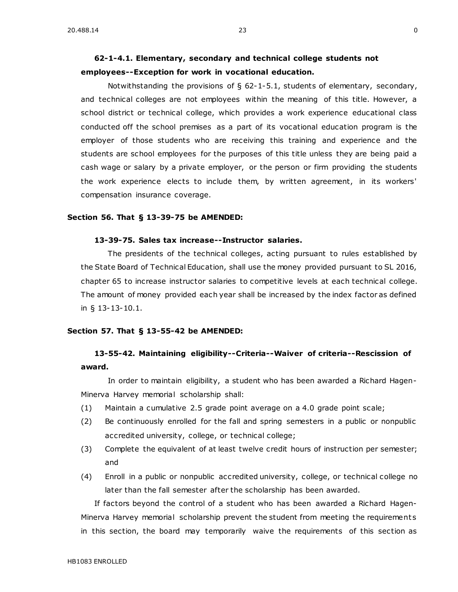# **[62-1-4.1. E](https://sdlegislature.gov/Statutes/Codified_Laws/DisplayStatute.aspx?Type=Statute&Statute=62-1-4.1)lementary, secondary and technical college students not employees--Exception for work in vocational education.**

Notwithstanding the provisions of § [62-1-5.1,](https://sdlegislature.gov/Statutes/Codified_Laws/DisplayStatute.aspx?Type=Statute&Statute=62-1-5.1) students of elementary, secondary, and technical colleges are not employees within the meaning of this title. However, a school district or technical college, which provides a work experience educational class conducted off the school premises as a part of its vocational education program is the employer of those students who are receiving this training and experience and the students are school employees for the purposes of this title unless they are being paid a cash wage or salary by a private employer, or the person or firm providing the students the work experience elects to include them, by written agreement, in its workers' compensation insurance coverage.

#### **Section 56. That § 13-39-75 be AMENDED:**

### **[13-39-75.](https://sdlegislature.gov/Statutes/Codified_Laws/DisplayStatute.aspx?Type=Statute&Statute=13-39-75) Sales tax increase--Instructor salaries.**

The presidents of the technical colleges, acting pursuant to rules established by the State Board of Technical Education, shall use the money provided pursuant to SL 2016, chapter 65 to increase instructor salaries to competitive levels at each technical college. The amount of money provided each year shall be increased by the index factor as defined in § [13-13-10.1.](https://sdlegislature.gov/Statutes/Codified_Laws/DisplayStatute.aspx?Type=Statute&Statute=13-13-10.1)

#### **Section 57. That § 13-55-42 be AMENDED:**

# **[13-55-42.](https://sdlegislature.gov/Statutes/Codified_Laws/DisplayStatute.aspx?Type=Statute&Statute=13-55-42) Maintaining eligibility--Criteria--Waiver of criteria--Rescission of award.**

In order to maintain eligibility, a student who has been awarded a Richard Hagen-Minerva Harvey memorial scholarship shall:

- (1) Maintain a cumulative 2.5 grade point average on a 4.0 grade point scale;
- (2) Be continuously enrolled for the fall and spring semesters in a public or nonpublic accredited university, college, or technical college;
- (3) Complete the equivalent of at least twelve credit hours of instruction per semester; and
- (4) Enroll in a public or nonpublic accredited university, college, or technical college no later than the fall semester after the scholarship has been awarded.

If factors beyond the control of a student who has been awarded a Richard Hagen-Minerva Harvey memorial scholarship prevent the student from meeting the requirements in this section, the board may temporarily waive the requirements of this section as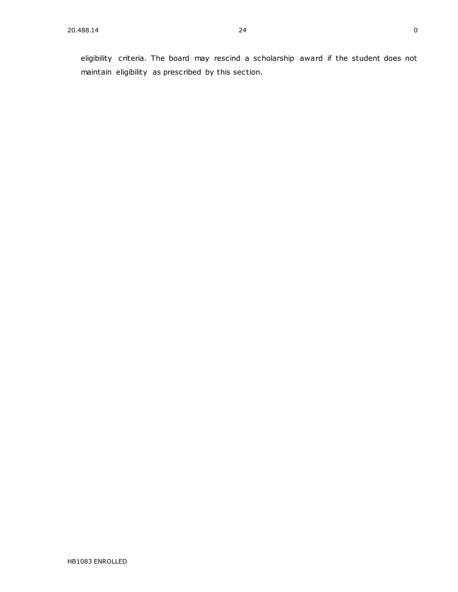eligibility criteria. The board may rescind a scholarship award if the student does not maintain eligibility as prescribed by this section.